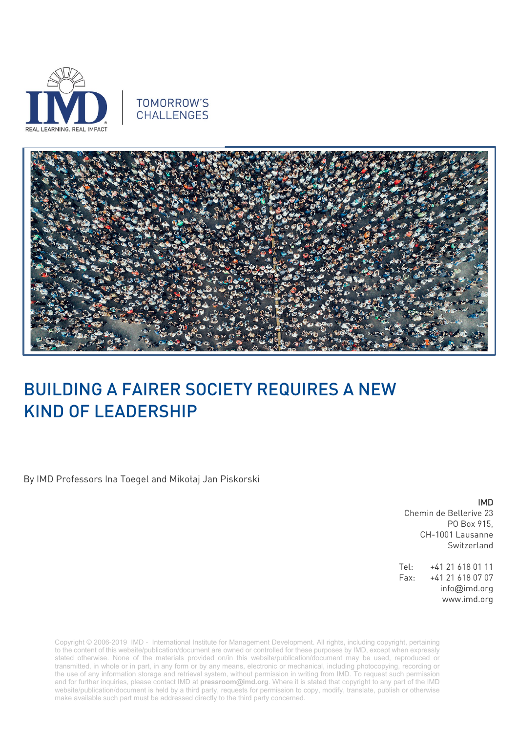

## TOMORROW'S CHALLENGES



## BUILDING A FAIRER SOCIETY REQUIRES A NEW KIND OF LEADERSHIP

By IMD Professors Ina Toegel and Mikołaj Jan Piskorski

IMD

Chemin de Bellerive 23 PO Box 915, CH-1001 Lausanne Switzerland

Tel: +41 21 618 01 11 Fax: +41 21 618 07 07 info@imd.org www.imd.org

Copyright © 2006-2019 IMD - International Institute for Management Development. All rights, including copyright, pertaining to the content of this website/publication/document are owned or controlled for these purposes by IMD, except when expressly stated otherwise. None of the materials provided on/in this website/publication/document may be used, reproduced or transmitted, in whole or in part, in any form or by any means, electronic or mechanical, including photocopying, recording or the use of any information storage and retrieval system, without permission in writing from IMD. To request such permission and for further inquiries, please contact IMD at **[pressroom@imd.org](mailto:pressroom@imd.org)**. Where it is stated that copyright to any part of the IMD website/publication/document is held by a third party, requests for permission to copy, modify, translate, publish or otherwise make available such part must be addressed directly to the third party concerned.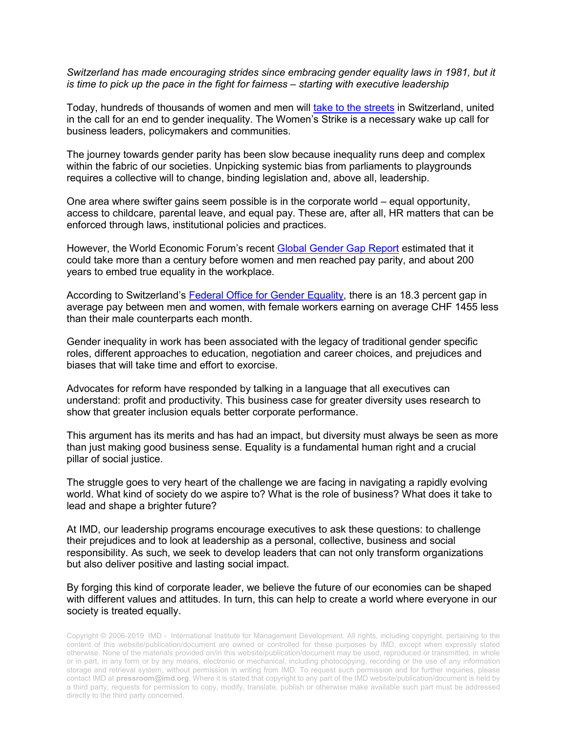*Switzerland has made encouraging strides since embracing gender equality laws in 1981, but it is time to pick up the pace in the fight for fairness – starting with executive leadership*

Today, hundreds of thousands of women and men will [take to the streets](https://www.swissinfo.ch/eng/june-14-_organisers-outline-plans-for-nationwide-women-s-strike-/44963268) in Switzerland, united in the call for an end to gender inequality. The Women's Strike is a necessary wake up call for business leaders, policymakers and communities.

The journey towards gender parity has been slow because inequality runs deep and complex within the fabric of our societies. Unpicking systemic bias from parliaments to playgrounds requires a collective will to change, binding legislation and, above all, leadership.

One area where swifter gains seem possible is in the corporate world – equal opportunity, access to childcare, parental leave, and equal pay. These are, after all, HR matters that can be enforced through laws, institutional policies and practices.

However, the World Economic Forum's recent [Global Gender Gap](http://reports.weforum.org/global-gender-gap-report-2018/press-release/) Report estimated that it could take more than a century before women and men reached pay parity, and about 200 years to embed true equality in the workplace.

According to Switzerland's [Federal Office for Gender Equality,](https://www.ebg.admin.ch/ebg/en/home/topics/work/equal-pay.html) there is an 18.3 percent gap in average pay between men and women, with female workers earning on average CHF 1455 less than their male counterparts each month.

Gender inequality in work has been associated with the legacy of traditional gender specific roles, different approaches to education, negotiation and career choices, and prejudices and biases that will take time and effort to exorcise.

Advocates for reform have responded by talking in a language that all executives can understand: profit and productivity. This business case for greater diversity uses research to show that greater inclusion equals better corporate performance.

This argument has its merits and has had an impact, but diversity must always be seen as more than just making good business sense. Equality is a fundamental human right and a crucial pillar of social justice.

The struggle goes to very heart of the challenge we are facing in navigating a rapidly evolving world. What kind of society do we aspire to? What is the role of business? What does it take to lead and shape a brighter future?

At IMD, our leadership programs encourage executives to ask these questions: to challenge their prejudices and to look at leadership as a personal, collective, business and social responsibility. As such, we seek to develop leaders that can not only transform organizations but also deliver positive and lasting social impact.

By forging this kind of corporate leader, we believe the future of our economies can be shaped with different values and attitudes. In turn, this can help to create a world where everyone in our society is treated equally.

Copyright © 2006-2019 IMD - International Institute for Management Development. All rights, including copyright, pertaining to the content of this website/publication/document are owned or controlled for these purposes by IMD, except when expressly stated otherwise. None of the materials provided on/in this website/publication/document may be used, reproduced or transmitted, in whole or in part, in any form or by any means, electronic or mechanical, including photocopying, recording or the use of any information storage and retrieval system, without permission in writing from IMD. To request such permission and for further inquiries, please contact IMD at **[pressroom@imd.org](mailto:pressroom@imd.org)**. Where it is stated that copyright to any part of the IMD website/publication/document is held by a third party, requests for permission to copy, modify, translate, publish or otherwise make available such part must be addressed directly to the third party concerned.